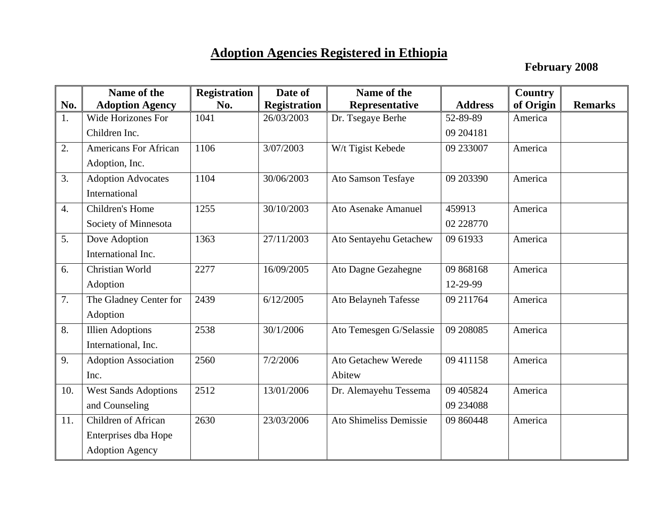## **Adoption Agencies Registered in Ethiopia**

February 2008

|                  | Name of the                  | <b>Registration</b> | Date of             | Name of the                 |                | Country   |                |
|------------------|------------------------------|---------------------|---------------------|-----------------------------|----------------|-----------|----------------|
| No.              | <b>Adoption Agency</b>       | No.                 | <b>Registration</b> | Representative              | <b>Address</b> | of Origin | <b>Remarks</b> |
| 1.               | <b>Wide Horizones For</b>    | 1041                | 26/03/2003          | Dr. Tsegaye Berhe           | 52-89-89       | America   |                |
|                  | Children Inc.                |                     |                     |                             | 09 204181      |           |                |
| 2.               | <b>Americans For African</b> | 1106                | 3/07/2003           | W/t Tigist Kebede           | 09 233007      | America   |                |
|                  | Adoption, Inc.               |                     |                     |                             |                |           |                |
| 3.               | <b>Adoption Advocates</b>    | 1104                | 30/06/2003          | Ato Samson Tesfaye          | 09 203390      | America   |                |
|                  | International                |                     |                     |                             |                |           |                |
| $\overline{4}$ . | Children's Home              | 1255                | 30/10/2003          | Ato Asenake Amanuel         | 459913         | America   |                |
|                  | Society of Minnesota         |                     |                     |                             | 02 22 8770     |           |                |
| 5.               | Dove Adoption                | 1363                | 27/11/2003          | Ato Sentayehu Getachew      | 09 61933       | America   |                |
|                  | International Inc.           |                     |                     |                             |                |           |                |
| 6.               | Christian World              | 2277                | 16/09/2005          | Ato Dagne Gezahegne         | 09 868168      | America   |                |
|                  | Adoption                     |                     |                     |                             | 12-29-99       |           |                |
| 7.               | The Gladney Center for       | 2439                | 6/12/2005           | <b>Ato Belayneh Tafesse</b> | 09 211764      | America   |                |
|                  | Adoption                     |                     |                     |                             |                |           |                |
| 8.               | <b>Illien Adoptions</b>      | 2538                | 30/1/2006           | Ato Temesgen G/Selassie     | 09 208085      | America   |                |
|                  | International, Inc.          |                     |                     |                             |                |           |                |
| 9.               | <b>Adoption Association</b>  | 2560                | 7/2/2006            | <b>Ato Getachew Werede</b>  | 09 411158      | America   |                |
|                  | Inc.                         |                     |                     | Abitew                      |                |           |                |
| 10.              | <b>West Sands Adoptions</b>  | 2512                | 13/01/2006          | Dr. Alemayehu Tessema       | 09 40 5824     | America   |                |
|                  | and Counseling               |                     |                     |                             | 09 234088      |           |                |
| 11.              | Children of African          | 2630                | 23/03/2006          | Ato Shimeliss Demissie      | 09 860448      | America   |                |
|                  | Enterprises dba Hope         |                     |                     |                             |                |           |                |
|                  | <b>Adoption Agency</b>       |                     |                     |                             |                |           |                |